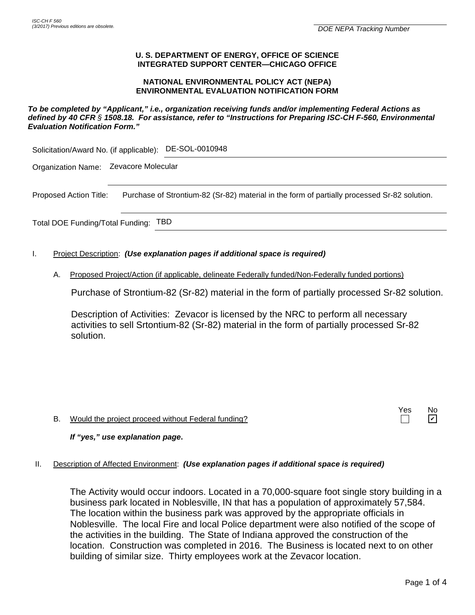### **U. S. DEPARTMENT OF ENERGY, OFFICE OF SCIENCE INTEGRATED SUPPORT CENTER—CHICAGO OFFICE**

### **NATIONAL ENVIRONMENTAL POLICY ACT (NEPA) ENVIRONMENTAL EVALUATION NOTIFICATION FORM**

### *To be completed by "Applicant," i.e., organization receiving funds and/or implementing Federal Actions as defined by 40 CFR § 1508.18. For assistance, refer to "Instructions for Preparing ISC-CH F-560, Environmental Evaluation Notification Form."*

Solicitation/Award No. (if applicable): DE-SOL-0010948

Organization Name: Zevacore Molecular

Proposed Action Title: Purchase of Strontium-82 (Sr-82) material in the form of partially processed Sr-82 solution.

Total DOE Funding/Total Funding: TBD

- I. Project Description: *(Use explanation pages if additional space is required)*
	- A. Proposed Project/Action (if applicable, delineate Federally funded/Non-Federally funded portions)

Purchase of Strontium-82 (Sr-82) material in the form of partially processed Sr-82 solution.

Description of Activities: Zevacor is licensed by the NRC to perform all necessary activities to sell Srtontium-82 (Sr-82) material in the form of partially processed Sr-82 solution.

B. Would the project proceed without Federal funding?

## *If "yes," use explanation page***.**

## II. Description of Affected Environment: *(Use explanation pages if additional space is required)*

The Activity would occur indoors. Located in a 70,000-square foot single story building in a business park located in Noblesville, IN that has a population of approximately 57,584. The location within the business park was approved by the appropriate officials in Noblesville. The local Fire and local Police department were also notified of the scope of the activities in the building. The State of Indiana approved the construction of the location. Construction was completed in 2016. The Business is located next to on other building of similar size. Thirty employees work at the Zevacor location.

Yes No

 $\Box$ 

 $\boldsymbol{\mathsf{v}}$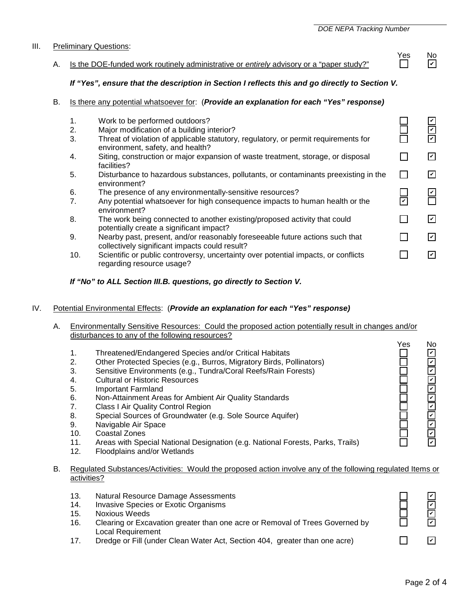# A. Is the DOE-funded work routinely administrative or *entirely* advisory or a "paper study?"

# *If "Yes", ensure that the description in Section I reflects this and go directly to Section V.*

# B. Is there any potential whatsoever for: (*Provide an explanation for each "Yes" response)*

| 2.  | Major modification of a building interior?                                                                                     |  |
|-----|--------------------------------------------------------------------------------------------------------------------------------|--|
| 3.  | Threat of violation of applicable statutory, regulatory, or permit requirements for<br>environment, safety, and health?        |  |
| 4.  | Siting, construction or major expansion of waste treatment, storage, or disposal<br>facilities?                                |  |
| 5.  | Disturbance to hazardous substances, pollutants, or contaminants preexisting in the<br>environment?                            |  |
| 6.  | The presence of any environmentally-sensitive resources?                                                                       |  |
| 7.  | Any potential whatsoever for high consequence impacts to human health or the<br>environment?                                   |  |
| 8.  | The work being connected to another existing/proposed activity that could<br>potentially create a significant impact?          |  |
| 9.  | Nearby past, present, and/or reasonably foreseeable future actions such that<br>collectively significant impacts could result? |  |
| 10. | Scientific or public controversy, uncertainty over potential impacts, or conflicts                                             |  |

10. Scientific or public controversy, uncertainty over potential impacts, or conflicts regarding resource usage?

### *If "No" to ALL Section III.B. questions, go directly to Section V.*

### IV. [Potential Environmental Effects:](file://orhome/orusers/MPD/MSOFFICE/WINWORD/forms/INSTRUCTIONS%20FOR%20CH%20F%20560.doc#III) (*Provide an explanation for each "Yes" response)*

- A. Environmentally Sensitive Resources: Could the proposed action potentially result in changes and/or disturbances to any of the following resources?
- Yes No 1. Threatened/Endangered Species and/or Critical Habitats<br>2. Other Protected Species (e.g., Burros, Migratory Birds, Po  $\Box$ ✔ 2. Other Protected Species (e.g., Burros, Migratory Birds, Pollinators) ✔ 3. Sensitive Environments (e.g., Tundra/Coral Reefs/Rain Forests) ✔ 4. Cultural or Historic Resources<br>5. Important Farmland ✔ 5. Important Farmland 200000 ✔ 6. Non-Attainment Areas for Ambient Air Quality Standards ✔ 7. Class I Air Quality Control Region ✔ 8. Special Sources of Groundwater (e.g. Sole Source Aquifer) ✔ 9. Navigable Air Space ✔ ✔
	- 10. Coastal Zones

III. Preliminary Questions:

1. Work to be performed outdoors?

- 11. Areas with Special National Designation (e.g. National Forests, Parks, Trails)
- 12. Floodplains and/or Wetlands

### B. Regulated Substances/Activities: Would the proposed action involve any of the following regulated Items or activities?

- 13. Natural Resource Damage Assessments
- 14. Invasive Species or Exotic Organisms
- 15. Noxious Weeds
- 16. Clearing or Excavation greater than one acre or Removal of Trees Governed by Local Requirement
- 17. Dredge or Fill (under Clean Water Act, Section 404, greater than one acre)

✔ ✔ ✔ ✔ П  $\overline{\mathcal{C}}$ 



✔

| Y<br>- - | NΩ |
|----------|----|
|          | ь  |

Г

✔

✔

✔

 $\overline{\mathbb{Z}}$ 

✔

 $\overline{\mathbf{v}}$ 

 $\overline{\mathbf{v}}$ 

✔ ✔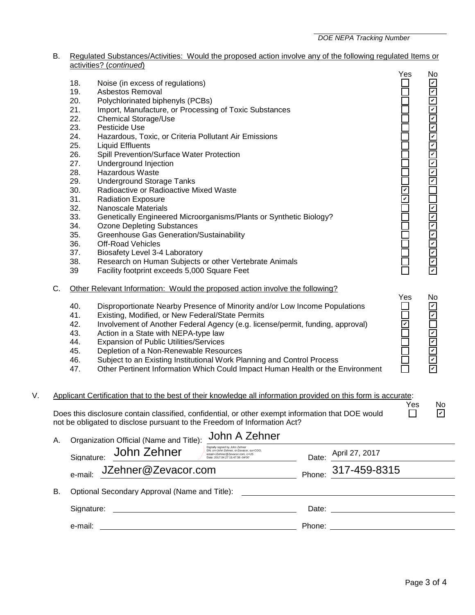- B. Regulated Substances/Activities: Would the proposed action involve any of the following regulated Items or activities? (*continued*)
- Yes No<br>□ ⊡ 18. Noise (in excess of regulations) 19. Asbestos Removal 20. Polychlorinated biphenyls (PCBs)<br>21. Import. Manufacture. or Processin Import, Manufacture, or Processing of Toxic Substances 22. Chemical Storage/Use 23. Pesticide Use<br>24. Hazardous. To Hazardous, Toxic, or Criteria Pollutant Air Emissions 25. Liquid Effluents 26. Spill Prevention/Surface Water Protection<br>27. Underground Injection Underground Injection 28. Hazardous Waste 29. Underground Storage Tanks 30. Radioactive or Radioactive Mixed Waste 31. Radiation Exposure 32. Nanoscale Materials<br>33. Genetically Engineer 33. Genetically Engineered Microorganisms/Plants or Synthetic Biology?<br>34. Ozone Depleting Substances Ozone Depleting Substances 35. Greenhouse Gas Generation/Sustainability **Off-Road Vehicles** 37. Biosafety Level 3-4 Laboratory 38. Research on Human Subjects or other Vertebrate Animals<br>39 Facility footprint exceeds 5.000 Square Feet Facility footprint exceeds 5,000 Square Feet C. Other Relevant Information: Would the proposed action involve the following? Yes No 40. Disproportionate Nearby Presence of Minority and/or Low Income Populations 41. Existing, Modified, or New Federal/State Permits<br>42. Involvement of Another Federal Agency (e.g. lice 42. Involvement of Another Federal Agency (e.g. license/permit, funding, approval)<br>43. Action in a State with NEPA-type law Action in a State with NEPA-type law 44. Expansion of Public Utilities/Services<br>45. Depletion of a Non-Renewable Resou Depletion of a Non-Renewable Resources 46. Subject to an Existing Institutional Work Planning and Control Process 47. Other Pertinent Information Which Could Impact Human Health or the Environment V. Applicant Certification that to the best of their knowledge all information provided on this form is accurate: Yes No<br>ロ 回 Does this disclosure contain classified, confidential, or other exempt information that DOE would not be obligated to disclose pursuant to the Freedom of Information Act? A. Organization Official (Name and Title): John A Zehner Signature:  $\underbrace{John Zen}$ <br>  $S_{\text{back: 2017.04.27 15:47:38 0400}}$ Date: e-mail: JZehner@Zevacor.com Phone: 317-459-8315 B. Optional Secondary Approval (Name and Title): Signature: <u>Date:</u> Date: Date: Date: Date: Date: Date: Date: Date: Date: Date: Date: Date: Date: Date: Date: Date: Date: Date: Date: Date: Date: Date: Date: Date: Date: Date: Date: Date: Date: Date: Date: Date: Date: Date: e-mail: Phone: John Zehner April 27, 2017 olistic metals of metallitics of metallitics of the metallitics of the metallitics of the metallitics of the metallitics of the metallitics of the metallitics of the metallitics of contents and be a metallitical of the met ✔ ✔ ✔ ✔ ✔ ✔ ✔ ✔ ✔ ✔ ✔ ✔ ✔ ✔ ✔ ✔ ✔ ✔ ✔ ✔ ✔ ✔ ✔ ✔ ✔ ✔ ✔ ✔ ✔ ✔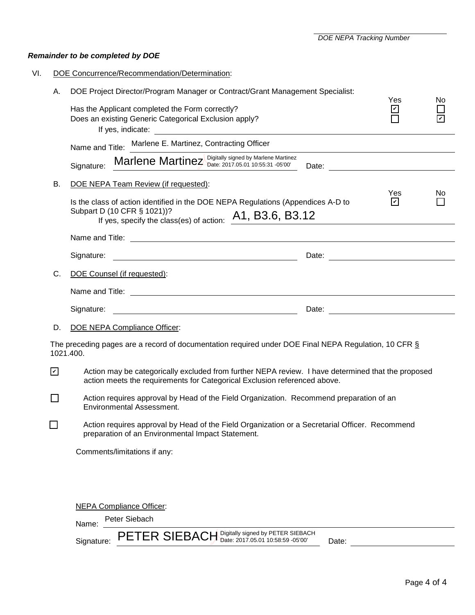*DOE NEPA Tracking Number*

# *Remainder to be completed by DOE*

|                | DOE Concurrence/Recommendation/Determination:                                                                                                                                   |                      |     |  |  |
|----------------|---------------------------------------------------------------------------------------------------------------------------------------------------------------------------------|----------------------|-----|--|--|
| А.             | DOE Project Director/Program Manager or Contract/Grant Management Specialist:                                                                                                   | Yes                  | No  |  |  |
|                | Has the Applicant completed the Form correctly?<br>Does an existing Generic Categorical Exclusion apply?                                                                        | $\blacktriangledown$ |     |  |  |
|                | Name and Title: Marlene E. Martinez, Contracting Officer                                                                                                                        |                      |     |  |  |
|                | Marlene Martinez Digitally signed by Marlene Martinez<br>Signature:                                                                                                             |                      |     |  |  |
| В.             | DOE NEPA Team Review (if requested):                                                                                                                                            | Yes                  | No. |  |  |
|                | Is the class of action identified in the DOE NEPA Regulations (Appendices A-D to<br>Subpart D (10 CFR § 1021))?<br>If yes, specify the class(es) of action: $A1$ , B3.6, B3.12  | ☑                    |     |  |  |
|                |                                                                                                                                                                                 |                      |     |  |  |
|                |                                                                                                                                                                                 |                      |     |  |  |
| C.             | DOE Counsel (if requested):                                                                                                                                                     |                      |     |  |  |
|                |                                                                                                                                                                                 |                      |     |  |  |
|                | Signature:<br><u> 1980 - Johann Barnett, fransk politik (d. 1980)</u>                                                                                                           |                      |     |  |  |
| D.             | DOE NEPA Compliance Officer:                                                                                                                                                    |                      |     |  |  |
|                | The preceding pages are a record of documentation required under DOE Final NEPA Regulation, 10 CFR $\S$<br>1021.400.                                                            |                      |     |  |  |
| ☑              | Action may be categorically excluded from further NEPA review. I have determined that the proposed<br>action meets the requirements for Categorical Exclusion referenced above. |                      |     |  |  |
| $\blacksquare$ | Action requires approval by Head of the Field Organization. Recommend preparation of an<br>Environmental Assessment.                                                            |                      |     |  |  |
|                | Action requires approval by Head of the Field Organization or a Secretarial Officer. Recommend<br>preparation of an Environmental Impact Statement.                             |                      |     |  |  |
|                | Comments/limitations if any:                                                                                                                                                    |                      |     |  |  |
|                |                                                                                                                                                                                 |                      |     |  |  |
|                | <b>NEPA Compliance Officer:</b>                                                                                                                                                 |                      |     |  |  |
|                | Peter Siebach<br>Name:                                                                                                                                                          |                      |     |  |  |